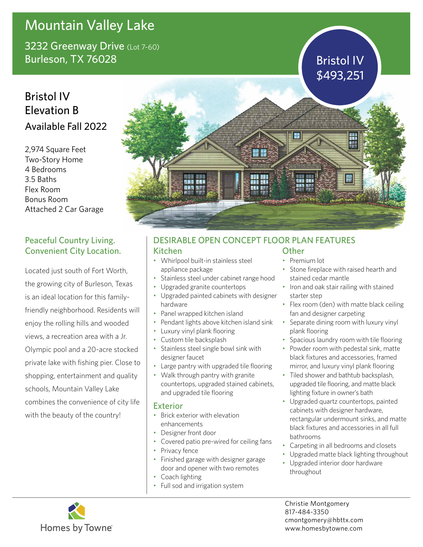# Mountain Valley Lake

3232 Greenway Drive (Lot 7-60) Burleson, TX 76028 Burleson, TX 76028

## Bristol IV Elevation B Available Fall 2022

2,974 Square Feet Two-Story Home 4 Bedrooms 3.5 Baths Flex Room Bonus Room Attached 2 Car Garage

### Peaceful Country Living. Convenient City Location.

Located just south of Fort Worth, the growing city of Burleson, Texas is an ideal location for this familyfriendly neighborhood. Residents will enjoy the rolling hills and wooded views, a recreation area with a Jr. Olympic pool and a 20-acre stocked private lake with fishing pier. Close to shopping, entertainment and quality schools, Mountain Valley Lake combines the convenience of city life with the beauty of the country!



### DESIRABLE OPEN CONCEPT FLOOR PLAN FEATURES

#### Kitchen

- Whirlpool built-in stainless steel appliance package
- Stainless steel under cabinet range hood
- Upgraded granite countertops
- Upgraded painted cabinets with designer hardware
- Panel wrapped kitchen island
- Pendant lights above kitchen island sink
- Luxury vinyl plank flooring
- Custom tile backsplash
- Stainless steel single bowl sink with designer faucet
- Large pantry with upgraded tile flooring
- Walk through pantry with granite countertops, upgraded stained cabinets, and upgraded tile flooring

#### Exterior

- Brick exterior with elevation enhancements
- Designer front door
- Covered patio pre-wired for ceiling fans
- Privacy fence
- Finished garage with designer garage door and opener with two remotes
- Coach lighting
- Full sod and irrigation system

#### **Other**

- Premium lot
- Stone fireplace with raised hearth and stained cedar mantle
- Iron and oak stair railing with stained starter step
- Flex room (den) with matte black ceiling fan and designer carpeting
- Separate dining room with luxury vinyl plank flooring
- Spacious laundry room with tile flooring
- Powder room with pedestal sink, matte black fixtures and accessories, framed mirror, and luxury vinyl plank flooring
- Tiled shower and bathtub backsplash, upgraded tile flooring, and matte black lighting fixture in owner's bath
- Upgraded quartz countertops, painted cabinets with designer hardware, rectangular undermount sinks, and matte black fixtures and accessories in all full bathrooms
- Carpeting in all bedrooms and closets
- Upgraded matte black lighting throughout
- Upgraded interior door hardware throughout

Christie Montgomery 817-484-3350 cmontgomery@hbttx.com www.homesbytowne.com